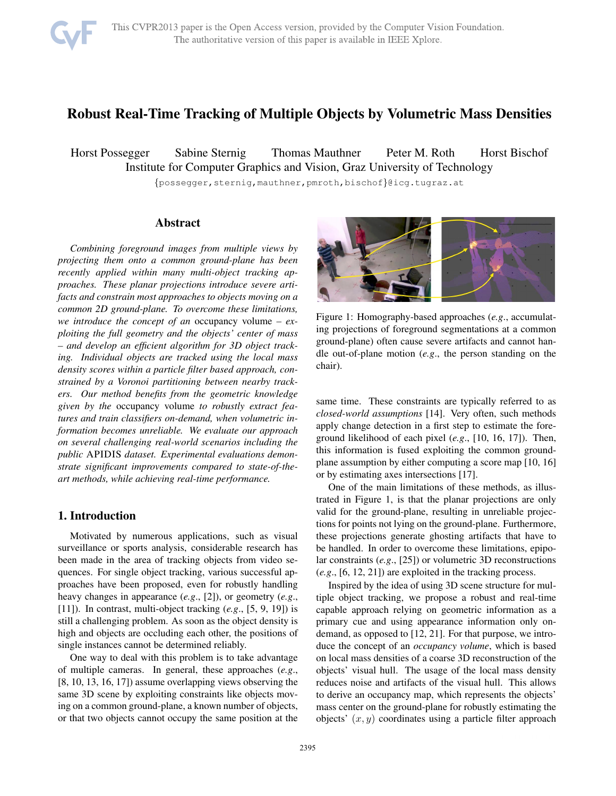

# Robust Real-Time Tracking of Multiple Objects by Volumetric Mass Densities

Horst Possegger Sabine Sternig Thomas Mauthner Peter M. Roth Horst Bischof Institute for Computer Graphics and Vision, Graz University of Technology

{possegger,sternig,mauthner,pmroth,bischof}@icg.tugraz.at

# Abstract

*Combining foreground images from multiple views by projecting them onto a common ground-plane has been recently applied within many multi-object tracking approaches. These planar projections introduce severe artifacts and constrain most approaches to objects moving on a common 2D ground-plane. To overcome these limitations, we introduce the concept of an* occupancy volume *– exploiting the full geometry and the objects' center of mass – and develop an efficient algorithm for 3D object tracking. Individual objects are tracked using the local mass density scores within a particle filter based approach, constrained by a Voronoi partitioning between nearby trackers. Our method benefits from the geometric knowledge given by the* occupancy volume *to robustly extract features and train classifiers on-demand, when volumetric information becomes unreliable. We evaluate our approach on several challenging real-world scenarios including the public* APIDIS *dataset. Experimental evaluations demonstrate significant improvements compared to state-of-theart methods, while achieving real-time performance.*

# 1. Introduction

Motivated by numerous applications, such as visual surveillance or sports analysis, considerable research has been made in the area of tracking objects from video sequences. For single object tracking, various successful approaches have been proposed, even for robustly handling heavy changes in appearance (*e.g*., [2]), or geometry (*e.g*., [11]). In contrast, multi-object tracking (*e.g*., [5, 9, 19]) is still a challenging problem. As soon as the object density is high and objects are occluding each other, the positions of single instances cannot be determined reliably.

One way to deal with this problem is to take advantage of multiple cameras. In general, these approaches (*e.g*., [8, 10, 13, 16, 17]) assume overlapping views observing the same 3D scene by exploiting constraints like objects moving on a common ground-plane, a known number of objects, or that two objects cannot occupy the same position at the



Figure 1: Homography-based approaches (*e.g*., accumulating projections of foreground segmentations at a common ground-plane) often cause severe artifacts and cannot handle out-of-plane motion (*e.g*., the person standing on the chair).

same time. These constraints are typically referred to as *closed-world assumptions* [14]. Very often, such methods apply change detection in a first step to estimate the foreground likelihood of each pixel (*e.g*., [10, 16, 17]). Then, this information is fused exploiting the common groundplane assumption by either computing a score map [10, 16] or by estimating axes intersections [17].

One of the main limitations of these methods, as illustrated in Figure 1, is that the planar projections are only valid for the ground-plane, resulting in unreliable projections for points not lying on the ground-plane. Furthermore, these projections generate ghosting artifacts that have to be handled. In order to overcome these limitations, epipolar constraints (*e.g*., [25]) or volumetric 3D reconstructions (*e.g*., [6, 12, 21]) are exploited in the tracking process.

Inspired by the idea of using 3D scene structure for multiple object tracking, we propose a robust and real-time capable approach relying on geometric information as a primary cue and using appearance information only ondemand, as opposed to [12, 21]. For that purpose, we introduce the concept of an *occupancy volume*, which is based on local mass densities of a coarse 3D reconstruction of the objects' visual hull. The usage of the local mass density reduces noise and artifacts of the visual hull. This allows to derive an occupancy map, which represents the objects' mass center on the ground-plane for robustly estimating the objects'  $(x, y)$  coordinates using a particle filter approach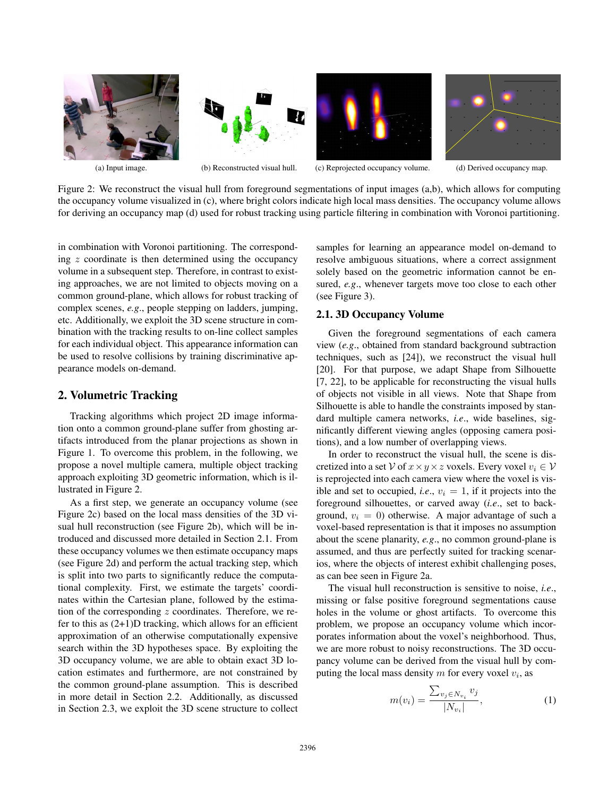

Figure 2: We reconstruct the visual hull from foreground segmentations of input images (a,b), which allows for computing the occupancy volume visualized in (c), where bright colors indicate high local mass densities. The occupancy volume allows for deriving an occupancy map (d) used for robust tracking using particle filtering in combination with Voronoi partitioning.

in combination with Voronoi partitioning. The corresponding  $z$  coordinate is then determined using the occupancy volume in a subsequent step. Therefore, in contrast to existing approaches, we are not limited to objects moving on a common ground-plane, which allows for robust tracking of complex scenes, *e.g*., people stepping on ladders, jumping, etc. Additionally, we exploit the 3D scene structure in combination with the tracking results to on-line collect samples for each individual object. This appearance information can be used to resolve collisions by training discriminative appearance models on-demand.

# 2. Volumetric Tracking

Tracking algorithms which project 2D image information onto a common ground-plane suffer from ghosting artifacts introduced from the planar projections as shown in Figure 1. To overcome this problem, in the following, we propose a novel multiple camera, multiple object tracking approach exploiting 3D geometric information, which is illustrated in Figure 2.

As a first step, we generate an occupancy volume (see Figure 2c) based on the local mass densities of the 3D visual hull reconstruction (see Figure 2b), which will be introduced and discussed more detailed in Section 2.1. From these occupancy volumes we then estimate occupancy maps (see Figure 2d) and perform the actual tracking step, which is split into two parts to significantly reduce the computational complexity. First, we estimate the targets' coordinates within the Cartesian plane, followed by the estimation of the corresponding  $z$  coordinates. Therefore, we refer to this as  $(2+1)D$  tracking, which allows for an efficient approximation of an otherwise computationally expensive search within the 3D hypotheses space. By exploiting the 3D occupancy volume, we are able to obtain exact 3D location estimates and furthermore, are not constrained by the common ground-plane assumption. This is described in more detail in Section 2.2. Additionally, as discussed in Section 2.3, we exploit the 3D scene structure to collect samples for learning an appearance model on-demand to resolve ambiguous situations, where a correct assignment solely based on the geometric information cannot be ensured, *e.g*., whenever targets move too close to each other (see Figure 3).

# 2.1. 3D Occupancy Volume

Given the foreground segmentations of each camera view (*e.g*., obtained from standard background subtraction techniques, such as [24]), we reconstruct the visual hull [20]. For that purpose, we adapt Shape from Silhouette [7, 22], to be applicable for reconstructing the visual hulls of objects not visible in all views. Note that Shape from Silhouette is able to handle the constraints imposed by standard multiple camera networks, *i.e*., wide baselines, significantly different viewing angles (opposing camera positions), and a low number of overlapping views.

In order to reconstruct the visual hull, the scene is discretized into a set V of  $x \times y \times z$  voxels. Every voxel  $v_i \in V$ is reprojected into each camera view where the voxel is visible and set to occupied, *i.e.*,  $v_i = 1$ , if it projects into the foreground silhouettes, or carved away (*i.e*., set to background,  $v_i = 0$ ) otherwise. A major advantage of such a voxel-based representation is that it imposes no assumption about the scene planarity, *e.g*., no common ground-plane is assumed, and thus are perfectly suited for tracking scenarios, where the objects of interest exhibit challenging poses, as can bee seen in Figure 2a.

The visual hull reconstruction is sensitive to noise, *i.e*., missing or false positive foreground segmentations cause holes in the volume or ghost artifacts. To overcome this problem, we propose an occupancy volume which incorporates information about the voxel's neighborhood. Thus, we are more robust to noisy reconstructions. The 3D occupancy volume can be derived from the visual hull by computing the local mass density  $m$  for every voxel  $v_i$ , as

$$
m(v_i) = \frac{\sum_{v_j \in N_{v_i}} v_j}{|N_{v_i}|},
$$
\n(1)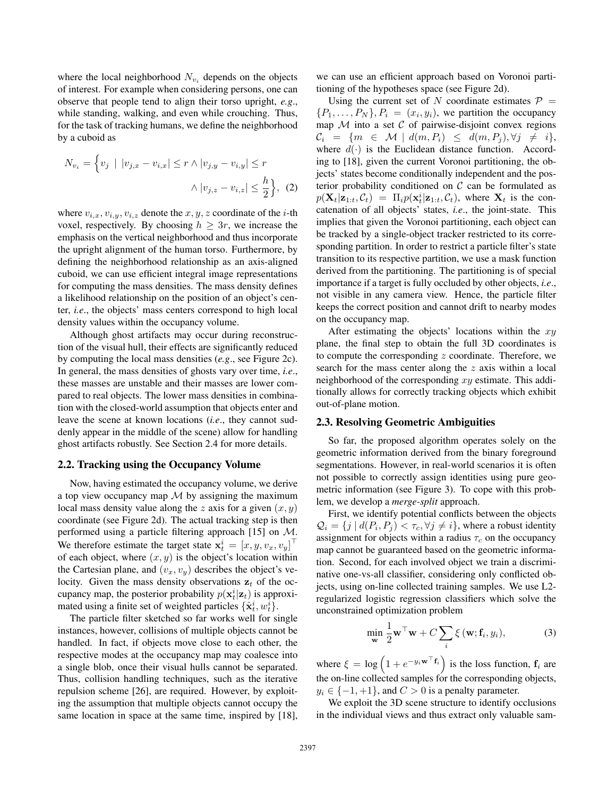where the local neighborhood  $N_{v_i}$  depends on the objects of interest. For example when considering persons, one can observe that people tend to align their torso upright, *e.g*., while standing, walking, and even while crouching. Thus, for the task of tracking humans, we define the neighborhood by a cuboid as

$$
N_{v_i} = \left\{ v_j \mid |v_{j,x} - v_{i,x}| \le r \land |v_{j,y} - v_{i,y}| \le r \right\}
$$

$$
\land |v_{j,z} - v_{i,z}| \le \frac{h}{2} \right\}, (2)
$$

where  $v_{i,x}, v_{i,y}, v_{i,z}$  denote the  $x, y, z$  coordinate of the *i*-th voxel, respectively. By choosing  $h \geq 3r$ , we increase the emphasis on the vertical neighborhood and thus incorporate the upright alignment of the human torso. Furthermore, by defining the neighborhood relationship as an axis-aligned cuboid, we can use efficient integral image representations for computing the mass densities. The mass density defines a likelihood relationship on the position of an object's center, *i.e*., the objects' mass centers correspond to high local density values within the occupancy volume.

Although ghost artifacts may occur during reconstruction of the visual hull, their effects are significantly reduced by computing the local mass densities (*e.g*., see Figure 2c). In general, the mass densities of ghosts vary over time, *i.e*., these masses are unstable and their masses are lower compared to real objects. The lower mass densities in combination with the closed-world assumption that objects enter and leave the scene at known locations (*i.e*., they cannot suddenly appear in the middle of the scene) allow for handling ghost artifacts robustly. See Section 2.4 for more details.

#### 2.2. Tracking using the Occupancy Volume

Now, having estimated the occupancy volume, we derive a top view occupancy map  $M$  by assigning the maximum local mass density value along the z axis for a given  $(x, y)$ coordinate (see Figure 2d). The actual tracking step is then performed using a particle filtering approach [15] on M. We therefore estimate the target state  $\mathbf{x}_t^i = [x, y, v_x, v_y]^\top$ of each object, where  $(x, y)$  is the object's location within the Cartesian plane, and  $(v_x, v_y)$  describes the object's velocity. Given the mass density observations  $z_t$  of the occupancy map, the posterior probability  $p(\mathbf{x}_t^i|\mathbf{z}_t)$  is approximated using a finite set of weighted particles  $\{\hat{\mathbf{x}}_t^i, w_t^i\}$ .

The particle filter sketched so far works well for single instances, however, collisions of multiple objects cannot be handled. In fact, if objects move close to each other, the respective modes at the occupancy map may coalesce into a single blob, once their visual hulls cannot be separated. Thus, collision handling techniques, such as the iterative repulsion scheme [26], are required. However, by exploiting the assumption that multiple objects cannot occupy the same location in space at the same time, inspired by [18], we can use an efficient approach based on Voronoi partitioning of the hypotheses space (see Figure 2d).

Using the current set of N coordinate estimates  $\mathcal{P} =$  ${P_1,\ldots,P_N}, P_i = (x_i,y_i)$ , we partition the occupancy map  $M$  into a set  $C$  of pairwise-disjoint convex regions  $\mathcal{C}_i = \{m \in \mathcal{M} \mid d(m, P_i) \leq d(m, P_j), \forall j \neq i\},\$ where  $d(\cdot)$  is the Euclidean distance function. According to [18], given the current Voronoi partitioning, the objects' states become conditionally independent and the posterior probability conditioned on  $C$  can be formulated as  $p(\mathbf{X}_t|\mathbf{z}_{1:t}, C_t) = \Pi_i p(\mathbf{x}_t^i|\mathbf{z}_{1:t}, C_t)$ , where  $\mathbf{X}_t$  is the concatenation of all objects' states, *i.e*., the joint-state. This implies that given the Voronoi partitioning, each object can be tracked by a single-object tracker restricted to its corresponding partition. In order to restrict a particle filter's state transition to its respective partition, we use a mask function derived from the partitioning. The partitioning is of special importance if a target is fully occluded by other objects, *i.e*., not visible in any camera view. Hence, the particle filter keeps the correct position and cannot drift to nearby modes on the occupancy map.

After estimating the objects' locations within the  $xy$ plane, the final step to obtain the full 3D coordinates is to compute the corresponding  $z$  coordinate. Therefore, we search for the mass center along the z axis within a local neighborhood of the corresponding  $xy$  estimate. This additionally allows for correctly tracking objects which exhibit out-of-plane motion.

#### 2.3. Resolving Geometric Ambiguities

So far, the proposed algorithm operates solely on the geometric information derived from the binary foreground segmentations. However, in real-world scenarios it is often not possible to correctly assign identities using pure geometric information (see Figure 3). To cope with this problem, we develop a *merge-split* approach.

First, we identify potential conflicts between the objects  $\mathcal{Q}_i = \{j \mid d(P_i, P_j) < \tau_c, \forall j \neq i\}$ , where a robust identity assignment for objects within a radius  $\tau_c$  on the occupancy map cannot be guaranteed based on the geometric information. Second, for each involved object we train a discriminative one-vs-all classifier, considering only conflicted objects, using on-line collected training samples. We use L2 regularized logistic regression classifiers which solve the unconstrained optimization problem

$$
\min_{\mathbf{w}} \frac{1}{2} \mathbf{w}^\top \mathbf{w} + C \sum_{i} \xi(\mathbf{w}; \mathbf{f}_i, y_i), \tag{3}
$$

where  $\xi = \log \left( 1 + e^{-y_i \mathbf{w}^\top \mathbf{f}_i} \right)$  is the loss function,  $\mathbf{f}_i$  are the on-line collected samples for the corresponding objects,  $y_i \in \{-1, +1\}$ , and  $C > 0$  is a penalty parameter.

We exploit the 3D scene structure to identify occlusions in the individual views and thus extract only valuable sam-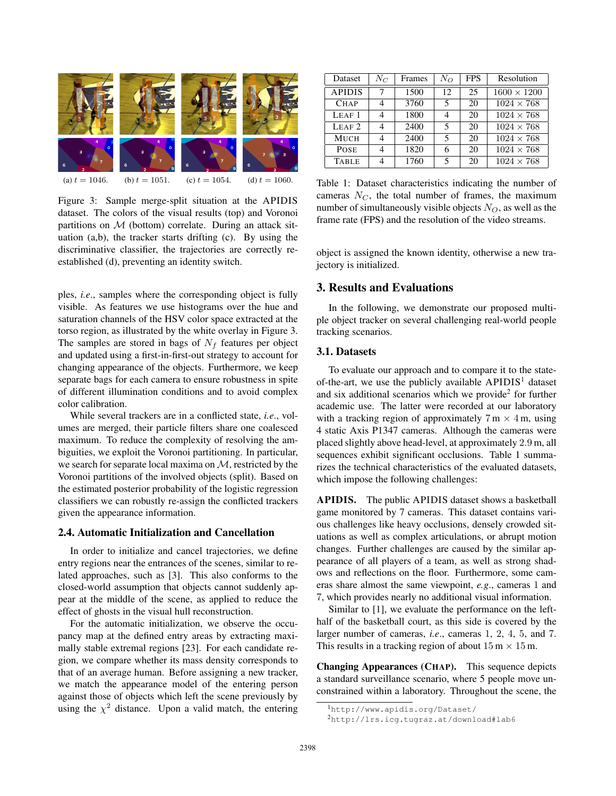

(a)  $t = 1046$ . (b)  $t = 1051$ . (c)  $t = 1054$ . (d)  $t = 1060$ .

Figure 3: Sample merge-split situation at the APIDIS dataset. The colors of the visual results (top) and Voronoi partitions on  $M$  (bottom) correlate. During an attack situation (a,b), the tracker starts drifting (c). By using the discriminative classifier, the trajectories are correctly reestablished (d), preventing an identity switch.

ples, *i.e*., samples where the corresponding object is fully visible. As features we use histograms over the hue and saturation channels of the HSV color space extracted at the torso region, as illustrated by the white overlay in Figure 3. The samples are stored in bags of  $N_f$  features per object and updated using a first-in-first-out strategy to account for changing appearance of the objects. Furthermore, we keep separate bags for each camera to ensure robustness in spite of different illumination conditions and to avoid complex color calibration.

While several trackers are in a conflicted state, *i.e*., volumes are merged, their particle filters share one coalesced maximum. To reduce the complexity of resolving the ambiguities, we exploit the Voronoi partitioning. In particular, we search for separate local maxima on  $M$ , restricted by the Voronoi partitions of the involved objects (split). Based on the estimated posterior probability of the logistic regression classifiers we can robustly re-assign the conflicted trackers given the appearance information.

#### 2.4. Automatic Initialization and Cancellation

In order to initialize and cancel trajectories, we define entry regions near the entrances of the scenes, similar to related approaches, such as [3]. This also conforms to the closed-world assumption that objects cannot suddenly appear at the middle of the scene, as applied to reduce the effect of ghosts in the visual hull reconstruction.

For the automatic initialization, we observe the occupancy map at the defined entry areas by extracting maximally stable extremal regions [23]. For each candidate region, we compare whether its mass density corresponds to that of an average human. Before assigning a new tracker, we match the appearance model of the entering person against those of objects which left the scene previously by using the  $\chi^2$  distance. Upon a valid match, the entering

| Dataset           | $N_C$ | Frames | $N_O$ | <b>FPS</b> | Resolution         |
|-------------------|-------|--------|-------|------------|--------------------|
| <b>APIDIS</b>     |       | 1500   | 12    | 25         | $1600 \times 1200$ |
| <b>CHAP</b>       |       | 3760   | 5     | 20         | $1024 \times 768$  |
| LEAF1             |       | 1800   |       | 20         | $1024 \times 768$  |
| LEAF <sub>2</sub> |       | 2400   | 5     | 20         | $1024 \times 768$  |
| <b>MUCH</b>       |       | 2400   | 5     | 20         | $1024 \times 768$  |
| <b>POSE</b>       |       | 1820   |       | 20         | $1024 \times 768$  |
| <b>TABLE</b>      |       | 1760   | 5     | 20         | $1024 \times 768$  |

Table 1: Dataset characteristics indicating the number of cameras  $N_C$ , the total number of frames, the maximum number of simultaneously visible objects  $N_O$ , as well as the frame rate (FPS) and the resolution of the video streams.

object is assigned the known identity, otherwise a new trajectory is initialized.

# 3. Results and Evaluations

In the following, we demonstrate our proposed multiple object tracker on several challenging real-world people tracking scenarios.

#### 3.1. Datasets

To evaluate our approach and to compare it to the stateof-the-art, we use the publicly available  $APIDIS<sup>1</sup>$  dataset and six additional scenarios which we provide<sup>2</sup> for further academic use. The latter were recorded at our laboratory with a tracking region of approximately  $7 \text{ m} \times 4 \text{ m}$ , using 4 static Axis P1347 cameras. Although the cameras were placed slightly above head-level, at approximately 2.9 m, all sequences exhibit significant occlusions. Table 1 summarizes the technical characteristics of the evaluated datasets, which impose the following challenges:

APIDIS. The public APIDIS dataset shows a basketball game monitored by 7 cameras. This dataset contains various challenges like heavy occlusions, densely crowded situations as well as complex articulations, or abrupt motion changes. Further challenges are caused by the similar appearance of all players of a team, as well as strong shadows and reflections on the floor. Furthermore, some cameras share almost the same viewpoint, *e.g*., cameras 1 and 7, which provides nearly no additional visual information.

Similar to [1], we evaluate the performance on the lefthalf of the basketball court, as this side is covered by the larger number of cameras, *i.e*., cameras 1, 2, 4, 5, and 7. This results in a tracking region of about  $15 \text{ m} \times 15 \text{ m}$ .

Changing Appearances (CHAP). This sequence depicts a standard surveillance scenario, where 5 people move unconstrained within a laboratory. Throughout the scene, the

<sup>1</sup>http://www.apidis.org/Dataset/

<sup>2</sup>http://lrs.icg.tugraz.at/download#lab6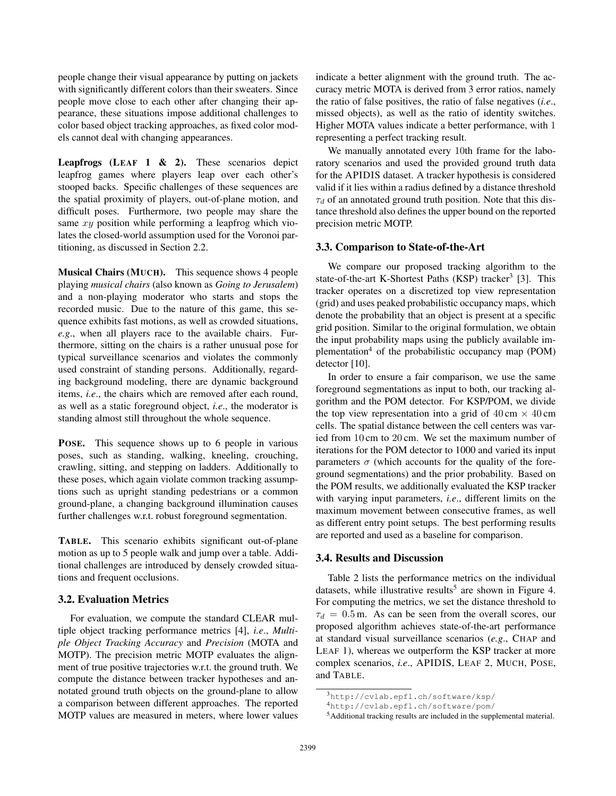people change their visual appearance by putting on jackets with significantly different colors than their sweaters. Since people move close to each other after changing their appearance, these situations impose additional challenges to color based object tracking approaches, as fixed color models cannot deal with changing appearances.

**Leapfrogs** (LEAF  $1 \& 2$ ). These scenarios depict leapfrog games where players leap over each other's stooped backs. Specific challenges of these sequences are the spatial proximity of players, out-of-plane motion, and difficult poses. Furthermore, two people may share the same  $xy$  position while performing a leapfrog which violates the closed-world assumption used for the Voronoi partitioning, as discussed in Section 2.2.

Musical Chairs (MUCH). This sequence shows 4 people playing *musical chairs* (also known as *Going to Jerusalem*) and a non-playing moderator who starts and stops the recorded music. Due to the nature of this game, this sequence exhibits fast motions, as well as crowded situations, *e.g*., when all players race to the available chairs. Furthermore, sitting on the chairs is a rather unusual pose for typical surveillance scenarios and violates the commonly used constraint of standing persons. Additionally, regarding background modeling, there are dynamic background items, *i.e*., the chairs which are removed after each round, as well as a static foreground object, *i.e*., the moderator is standing almost still throughout the whole sequence.

POSE. This sequence shows up to 6 people in various poses, such as standing, walking, kneeling, crouching, crawling, sitting, and stepping on ladders. Additionally to these poses, which again violate common tracking assumptions such as upright standing pedestrians or a common ground-plane, a changing background illumination causes further challenges w.r.t. robust foreground segmentation.

TABLE. This scenario exhibits significant out-of-plane motion as up to 5 people walk and jump over a table. Additional challenges are introduced by densely crowded situations and frequent occlusions.

### 3.2. Evaluation Metrics

For evaluation, we compute the standard CLEAR multiple object tracking performance metrics [4], *i.e*., *Multiple Object Tracking Accuracy* and *Precision* (MOTA and MOTP). The precision metric MOTP evaluates the alignment of true positive trajectories w.r.t. the ground truth. We compute the distance between tracker hypotheses and annotated ground truth objects on the ground-plane to allow a comparison between different approaches. The reported MOTP values are measured in meters, where lower values

indicate a better alignment with the ground truth. The accuracy metric MOTA is derived from 3 error ratios, namely the ratio of false positives, the ratio of false negatives (*i.e*., missed objects), as well as the ratio of identity switches. Higher MOTA values indicate a better performance, with 1 representing a perfect tracking result.

We manually annotated every 10th frame for the laboratory scenarios and used the provided ground truth data for the APIDIS dataset. A tracker hypothesis is considered valid if it lies within a radius defined by a distance threshold  $\tau_d$  of an annotated ground truth position. Note that this distance threshold also defines the upper bound on the reported precision metric MOTP.

# 3.3. Comparison to State-of-the-Art

We compare our proposed tracking algorithm to the state-of-the-art K-Shortest Paths  $(KSP)$  tracker<sup>3</sup> [3]. This tracker operates on a discretized top view representation (grid) and uses peaked probabilistic occupancy maps, which denote the probability that an object is present at a specific grid position. Similar to the original formulation, we obtain the input probability maps using the publicly available implementation<sup>4</sup> of the probabilistic occupancy map (POM) detector [10].

In order to ensure a fair comparison, we use the same foreground segmentations as input to both, our tracking algorithm and the POM detector. For KSP/POM, we divide the top view representation into a grid of  $40 \text{ cm} \times 40 \text{ cm}$ cells. The spatial distance between the cell centers was varied from 10 cm to 20 cm. We set the maximum number of iterations for the POM detector to 1000 and varied its input parameters  $\sigma$  (which accounts for the quality of the foreground segmentations) and the prior probability. Based on the POM results, we additionally evaluated the KSP tracker with varying input parameters, *i.e*., different limits on the maximum movement between consecutive frames, as well as different entry point setups. The best performing results are reported and used as a baseline for comparison.

#### 3.4. Results and Discussion

Table 2 lists the performance metrics on the individual datasets, while illustrative results<sup>5</sup> are shown in Figure 4. For computing the metrics, we set the distance threshold to  $\tau_d = 0.5$  m. As can be seen from the overall scores, our proposed algorithm achieves state-of-the-art performance at standard visual surveillance scenarios (*e.g*., CHAP and LEAF 1), whereas we outperform the KSP tracker at more complex scenarios, *i.e*., APIDIS, LEAF 2, MUCH, POSE, and TABLE.

<sup>3</sup>http://cvlab.epfl.ch/software/ksp/

<sup>4</sup>http://cvlab.epfl.ch/software/pom/

<sup>5</sup>Additional tracking results are included in the supplemental material.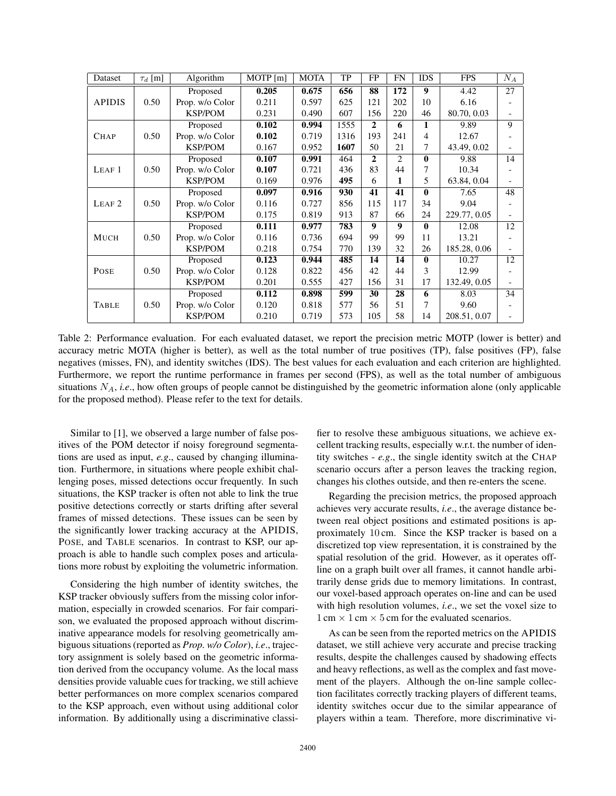| Dataset           | $\tau_d$ [m] | Algorithm       | $\overline{M}$ OTP $[m]$ | <b>MOTA</b> | TP   | FP           | <b>FN</b> | <b>IDS</b>       | <b>FPS</b>   | $N_A$ |
|-------------------|--------------|-----------------|--------------------------|-------------|------|--------------|-----------|------------------|--------------|-------|
| <b>APIDIS</b>     |              | Proposed        | 0.205                    | 0.675       | 656  | 88           | 172       | $\boldsymbol{9}$ | 4.42         | 27    |
|                   | 0.50         | Prop. w/o Color | 0.211                    | 0.597       | 625  | 121          | 202       | 10               | 6.16         |       |
|                   |              | <b>KSP/POM</b>  | 0.231                    | 0.490       | 607  | 156          | 220       | 46               | 80.70, 0.03  |       |
| <b>CHAP</b>       | 0.50         | Proposed        | 0.102                    | 0.994       | 1555 | $\mathbf{2}$ | 6         | 1                | 9.89         | 9     |
|                   |              | Prop. w/o Color | 0.102                    | 0.719       | 1316 | 193          | 241       | 4                | 12.67        |       |
|                   |              | <b>KSP/POM</b>  | 0.167                    | 0.952       | 1607 | 50           | 21        | 7                | 43.49, 0.02  |       |
| LEAF <sub>1</sub> |              | Proposed        | 0.107                    | 0.991       | 464  | $\mathbf{2}$ | 2         | $\mathbf{0}$     | 9.88         | 14    |
|                   | 0.50         | Prop. w/o Color | 0.107                    | 0.721       | 436  | 83           | 44        | 7                | 10.34        |       |
|                   |              | <b>KSP/POM</b>  | 0.169                    | 0.976       | 495  | 6            | 1         | 5                | 63.84, 0.04  |       |
| LEAF <sub>2</sub> |              | Proposed        | 0.097                    | 0.916       | 930  | 41           | 41        | $\mathbf{0}$     | 7.65         | 48    |
|                   | 0.50         | Prop. w/o Color | 0.116                    | 0.727       | 856  | 115          | 117       | 34               | 9.04         |       |
|                   |              | <b>KSP/POM</b>  | 0.175                    | 0.819       | 913  | 87           | 66        | 24               | 229.77, 0.05 |       |
| <b>MUCH</b>       |              | Proposed        | 0.111                    | 0.977       | 783  | 9            | 9         | $\mathbf{0}$     | 12.08        | 12    |
|                   | 0.50         | Prop. w/o Color | 0.116                    | 0.736       | 694  | 99           | 99        | 11               | 13.21        |       |
|                   |              | <b>KSP/POM</b>  | 0.218                    | 0.754       | 770  | 139          | 32        | 26               | 185.28, 0.06 |       |
| <b>POSE</b>       | 0.50         | Proposed        | 0.123                    | 0.944       | 485  | 14           | 14        | $\mathbf{0}$     | 10.27        | 12    |
|                   |              | Prop. w/o Color | 0.128                    | 0.822       | 456  | 42           | 44        | 3                | 12.99        |       |
|                   |              | <b>KSP/POM</b>  | 0.201                    | 0.555       | 427  | 156          | 31        | 17               | 132.49, 0.05 |       |
| <b>TABLE</b>      | 0.50         | Proposed        | 0.112                    | 0.898       | 599  | 30           | 28        | 6                | 8.03         | 34    |
|                   |              | Prop. w/o Color | 0.120                    | 0.818       | 577  | 56           | 51        | 7                | 9.60         |       |
|                   |              | <b>KSP/POM</b>  | 0.210                    | 0.719       | 573  | 105          | 58        | 14               | 208.51, 0.07 |       |

Table 2: Performance evaluation. For each evaluated dataset, we report the precision metric MOTP (lower is better) and accuracy metric MOTA (higher is better), as well as the total number of true positives (TP), false positives (FP), false negatives (misses, FN), and identity switches (IDS). The best values for each evaluation and each criterion are highlighted. Furthermore, we report the runtime performance in frames per second (FPS), as well as the total number of ambiguous situations  $N_A$ , *i.e.*, how often groups of people cannot be distinguished by the geometric information alone (only applicable for the proposed method). Please refer to the text for details.

Similar to [1], we observed a large number of false positives of the POM detector if noisy foreground segmentations are used as input, *e.g*., caused by changing illumination. Furthermore, in situations where people exhibit challenging poses, missed detections occur frequently. In such situations, the KSP tracker is often not able to link the true positive detections correctly or starts drifting after several frames of missed detections. These issues can be seen by the significantly lower tracking accuracy at the APIDIS, POSE, and TABLE scenarios. In contrast to KSP, our approach is able to handle such complex poses and articulations more robust by exploiting the volumetric information.

Considering the high number of identity switches, the KSP tracker obviously suffers from the missing color information, especially in crowded scenarios. For fair comparison, we evaluated the proposed approach without discriminative appearance models for resolving geometrically ambiguous situations (reported as *Prop. w/o Color*), *i.e*., trajectory assignment is solely based on the geometric information derived from the occupancy volume. As the local mass densities provide valuable cues for tracking, we still achieve better performances on more complex scenarios compared to the KSP approach, even without using additional color information. By additionally using a discriminative classifier to resolve these ambiguous situations, we achieve excellent tracking results, especially w.r.t. the number of identity switches - *e.g*., the single identity switch at the CHAP scenario occurs after a person leaves the tracking region, changes his clothes outside, and then re-enters the scene.

Regarding the precision metrics, the proposed approach achieves very accurate results, *i.e*., the average distance between real object positions and estimated positions is approximately 10 cm. Since the KSP tracker is based on a discretized top view representation, it is constrained by the spatial resolution of the grid. However, as it operates offline on a graph built over all frames, it cannot handle arbitrarily dense grids due to memory limitations. In contrast, our voxel-based approach operates on-line and can be used with high resolution volumes, *i.e*., we set the voxel size to  $1 \text{ cm} \times 1 \text{ cm} \times 5 \text{ cm}$  for the evaluated scenarios.

As can be seen from the reported metrics on the APIDIS dataset, we still achieve very accurate and precise tracking results, despite the challenges caused by shadowing effects and heavy reflections, as well as the complex and fast movement of the players. Although the on-line sample collection facilitates correctly tracking players of different teams, identity switches occur due to the similar appearance of players within a team. Therefore, more discriminative vi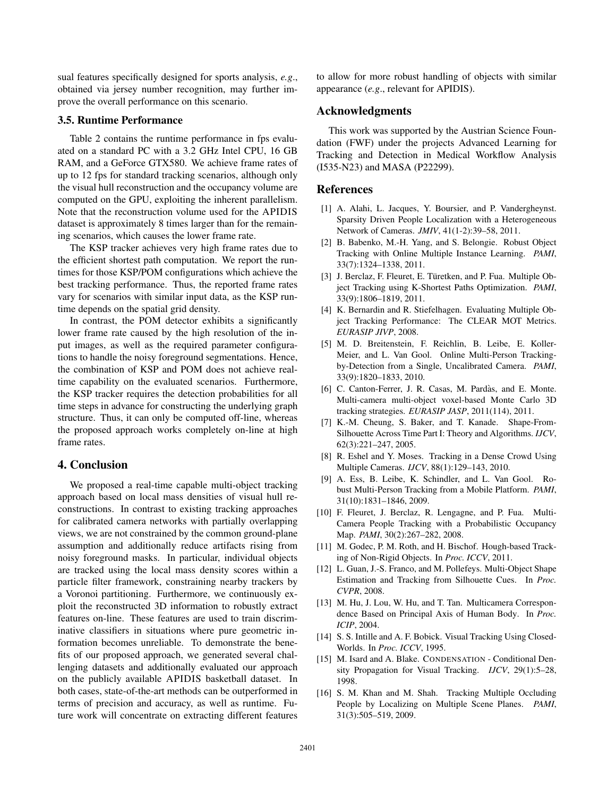sual features specifically designed for sports analysis, *e.g*., obtained via jersey number recognition, may further improve the overall performance on this scenario.

#### 3.5. Runtime Performance

Table 2 contains the runtime performance in fps evaluated on a standard PC with a 3.2 GHz Intel CPU, 16 GB RAM, and a GeForce GTX580. We achieve frame rates of up to 12 fps for standard tracking scenarios, although only the visual hull reconstruction and the occupancy volume are computed on the GPU, exploiting the inherent parallelism. Note that the reconstruction volume used for the APIDIS dataset is approximately 8 times larger than for the remaining scenarios, which causes the lower frame rate.

The KSP tracker achieves very high frame rates due to the efficient shortest path computation. We report the runtimes for those KSP/POM configurations which achieve the best tracking performance. Thus, the reported frame rates vary for scenarios with similar input data, as the KSP runtime depends on the spatial grid density.

In contrast, the POM detector exhibits a significantly lower frame rate caused by the high resolution of the input images, as well as the required parameter configurations to handle the noisy foreground segmentations. Hence, the combination of KSP and POM does not achieve realtime capability on the evaluated scenarios. Furthermore, the KSP tracker requires the detection probabilities for all time steps in advance for constructing the underlying graph structure. Thus, it can only be computed off-line, whereas the proposed approach works completely on-line at high frame rates.

### 4. Conclusion

We proposed a real-time capable multi-object tracking approach based on local mass densities of visual hull reconstructions. In contrast to existing tracking approaches for calibrated camera networks with partially overlapping views, we are not constrained by the common ground-plane assumption and additionally reduce artifacts rising from noisy foreground masks. In particular, individual objects are tracked using the local mass density scores within a particle filter framework, constraining nearby trackers by a Voronoi partitioning. Furthermore, we continuously exploit the reconstructed 3D information to robustly extract features on-line. These features are used to train discriminative classifiers in situations where pure geometric information becomes unreliable. To demonstrate the benefits of our proposed approach, we generated several challenging datasets and additionally evaluated our approach on the publicly available APIDIS basketball dataset. In both cases, state-of-the-art methods can be outperformed in terms of precision and accuracy, as well as runtime. Future work will concentrate on extracting different features

to allow for more robust handling of objects with similar appearance (*e.g*., relevant for APIDIS).

### Acknowledgments

This work was supported by the Austrian Science Foundation (FWF) under the projects Advanced Learning for Tracking and Detection in Medical Workflow Analysis (I535-N23) and MASA (P22299).

#### References

- [1] A. Alahi, L. Jacques, Y. Boursier, and P. Vandergheynst. Sparsity Driven People Localization with a Heterogeneous Network of Cameras. *JMIV*, 41(1-2):39–58, 2011.
- [2] B. Babenko, M.-H. Yang, and S. Belongie. Robust Object Tracking with Online Multiple Instance Learning. *PAMI*, 33(7):1324–1338, 2011.
- [3] J. Berclaz, F. Fleuret, E. Türetken, and P. Fua. Multiple Object Tracking using K-Shortest Paths Optimization. *PAMI*, 33(9):1806–1819, 2011.
- [4] K. Bernardin and R. Stiefelhagen. Evaluating Multiple Object Tracking Performance: The CLEAR MOT Metrics. *EURASIP JIVP*, 2008.
- [5] M. D. Breitenstein, F. Reichlin, B. Leibe, E. Koller-Meier, and L. Van Gool. Online Multi-Person Trackingby-Detection from a Single, Uncalibrated Camera. *PAMI*, 33(9):1820–1833, 2010.
- [6] C. Canton-Ferrer, J. R. Casas, M. Pardàs, and E. Monte. Multi-camera multi-object voxel-based Monte Carlo 3D tracking strategies. *EURASIP JASP*, 2011(114), 2011.
- [7] K.-M. Cheung, S. Baker, and T. Kanade. Shape-From-Silhouette Across Time Part I: Theory and Algorithms. *IJCV*, 62(3):221–247, 2005.
- [8] R. Eshel and Y. Moses. Tracking in a Dense Crowd Using Multiple Cameras. *IJCV*, 88(1):129–143, 2010.
- [9] A. Ess, B. Leibe, K. Schindler, and L. Van Gool. Robust Multi-Person Tracking from a Mobile Platform. *PAMI*, 31(10):1831–1846, 2009.
- [10] F. Fleuret, J. Berclaz, R. Lengagne, and P. Fua. Multi-Camera People Tracking with a Probabilistic Occupancy Map. *PAMI*, 30(2):267–282, 2008.
- [11] M. Godec, P. M. Roth, and H. Bischof. Hough-based Tracking of Non-Rigid Objects. In *Proc. ICCV*, 2011.
- [12] L. Guan, J.-S. Franco, and M. Pollefeys. Multi-Object Shape Estimation and Tracking from Silhouette Cues. In *Proc. CVPR*, 2008.
- [13] M. Hu, J. Lou, W. Hu, and T. Tan. Multicamera Correspondence Based on Principal Axis of Human Body. In *Proc. ICIP*, 2004.
- [14] S. S. Intille and A. F. Bobick. Visual Tracking Using Closed-Worlds. In *Proc. ICCV*, 1995.
- [15] M. Isard and A. Blake. CONDENSATION Conditional Density Propagation for Visual Tracking. *IJCV*, 29(1):5–28, 1998.
- [16] S. M. Khan and M. Shah. Tracking Multiple Occluding People by Localizing on Multiple Scene Planes. *PAMI*, 31(3):505–519, 2009.